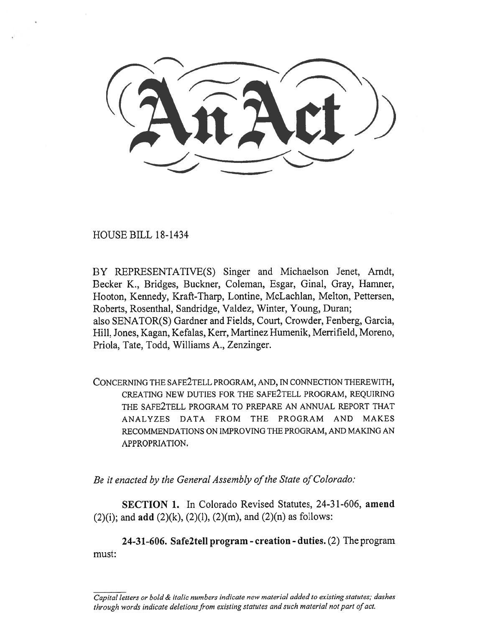HOUSE BILL 18-1434

BY REPRESENTATIVE(S) Singer and Michaelson Jenet, Arndt, Becker K., Bridges, Buckner, Coleman, Esgar, Ginal, Gray, Hamner, Hooton, Kennedy, Kraft-Tharp, Lontine, McLachlan, Melton, Pettersen, Roberts, Rosenthal, Sandridge, Valdez, Winter, Young, Duran; also SENATOR(S) Gardner and Fields, Court, Crowder, Fenberg, Garcia, Hill, Jones, Kagan, Kefalas, Kerr, Martinez Humenik, Merrifield, Moreno, Priola, Tate, Todd, Williams A., Zenzinger.

CONCERNING THE SAFE2TELL PROGRAM, AND, IN CONNECTION THEREWITH, CREATING NEW DUTIES FOR THE SAFE2TELL PROGRAM, REQUIRING THE SAFE2TELL PROGRAM TO PREPARE AN ANNUAL REPORT THAT ANALYZES DATA FROM THE PROGRAM AND MAKES RECOMMENDATIONS ON IMPROVING THE PROGRAM, AND MAKING AN APPROPRIATION.

*Be it enacted by the General Assembly of the State of Colorado:* 

**SECTION 1.** In Colorado Revised Statutes, 24-31-606, **amend**   $(2)(i)$ ; and **add**  $(2)(k)$ ,  $(2)(l)$ ,  $(2)(m)$ , and  $(2)(n)$  as follows:

**24-31-606. Safe2tell program - creation - duties.** (2) The program must:

*Capital letters or bold & italic numbers indicate new material added to existing statutes; dashes through words indicate deletions from existing statutes and such material not part of act.*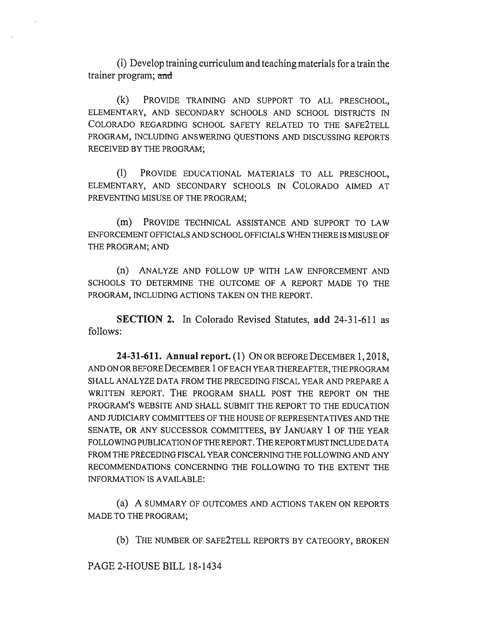(i) Develop training curriculum and teaching materials for a train the trainer program; and

(k) PROVIDE TRAINING AND SUPPORT TO ALL PRESCHOOL, ELEMENTARY, AND SECONDARY SCHOOLS AND SCHOOL DISTRICTS IN COLORADO REGARDING SCHOOL SAFETY RELATED TO THE SAFE2TELL PROGRAM, INCLUDING ANSWERING QUESTIONS AND DISCUSSING REPORTS RECEIVED BY THE PROGRAM;

(1) PROVIDE EDUCATIONAL MATERIALS TO ALL PRESCHOOL, ELEMENTARY, AND SECONDARY SCHOOLS IN COLORADO AIMED AT PREVENTING MISUSE OF THE PROGRAM;

(m) PROVIDE TECHNICAL ASSISTANCE AND SUPPORT TO LAW ENFORCEMENT OFFICIALS AND SCHOOL OFFICIALS WHEN THERE IS MISUSE OF THE PROGRAM; AND

(n) ANALYZE AND FOLLOW UP WITH LAW ENFORCEMENT AND SCHOOLS TO DETERMINE THE OUTCOME OF A REPORT MADE TO THE PROGRAM, INCLUDING ACTIONS TAKEN ON THE REPORT.

**SECTION 2.** In Colorado Revised Statutes, **add** 24-31-611 as follows:

**24-31-611. Annual report.** (1) ON OR BEFORE DECEMBER 1, 2018, AND ON OR BEFORE DECEMBER 1 OF EACH YEAR THEREAFTER, THE PROGRAM SHALL ANALYZE DATA FROM THE PRECEDING FISCAL YEAR AND PREPARE A WRITTEN REPORT. THE PROGRAM SHALL POST THE REPORT ON THE PROGRAM'S WEBSITE AND SHALL SUBMIT THE REPORT TO THE EDUCATION AND JUDICIARY COMMITTEES OF THE HOUSE OF REPRESENTATIVES AND THE SENATE, OR ANY SUCCESSOR COMMITTEES, BY JANUARY 1 OF THE YEAR FOLLOWING PUBLICATION OF THE REPORT. THE REPORT MUST INCLUDE DATA FROM THE PRECEDING FISCAL YEAR CONCERNING THE FOLLOWING AND ANY RECOMMENDATIONS CONCERNING THE FOLLOWING TO THE EXTENT THE INFORMATION IS AVAILABLE:

(a) A SUMMARY OF OUTCOMES AND ACTIONS TAKEN ON REPORTS MADE TO THE PROGRAM;

(b) THE NUMBER OF SAFE2TELL REPORTS BY CATEGORY, BROKEN

PAGE 2-HOUSE BILL 18-1434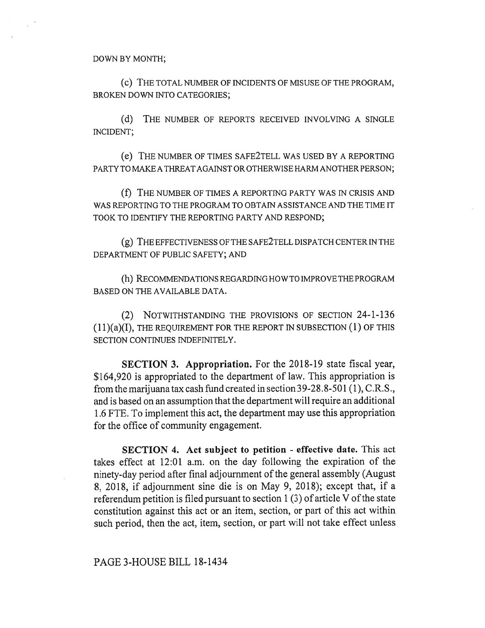(C) THE TOTAL NUMBER OF INCIDENTS OF MISUSE OF THE PROGRAM, BROKEN DOWN INTO CATEGORIES;

(d) THE NUMBER OF REPORTS RECEIVED INVOLVING A SINGLE INCIDENT;

(e) THE NUMBER OF TIMES SAFE2TELL WAS USED BY A REPORTING PARTY TO MAKE A THREAT AGAINST OR OTHERWISE HARM ANOTHER PERSON;

(f) THE NUMBER OF TIMES A REPORTING PARTY WAS IN CRISIS AND WAS REPORTING TO THE PROGRAM TO OBTAIN ASSISTANCE AND THE TIME IT TOOK TO IDENTIFY THE REPORTING PARTY AND RESPOND;

(g) THE EFFECTIVENESS OF THE SAFE2TELL DISPATCH CENTER IN THE DEPARTMENT OF PUBLIC SAFETY; AND

(h) RECOMMENDATIONS REGARDING HOW TO IMPROVE THE PROGRAM BASED ON THE AVAILABLE DATA.

(2) NOTWITHSTANDING THE PROVISIONS OF SECTION 24-1-136  $(11)(a)(I)$ , THE REQUIREMENT FOR THE REPORT IN SUBSECTION  $(I)$  OF THIS SECTION CONTINUES INDEFINITELY.

**SECTION 3. Appropriation.** For the 2018-19 state fiscal year, \$164,920 is appropriated to the department of law. This appropriation is from the marijuana tax cash fund created in section 39-28.8-501 (1), C.R.S., and is based on an assumption that the department will require an additional 1.6 FTE. To implement this act, the department may use this appropriation for the office of community engagement.

**SECTION 4. Act subject to petition - effective date.** This act takes effect at 12:01 a.m. on the day following the expiration of the ninety-day period after final adjournment of the general assembly (August 8, 2018, if adjournment sine die is on May 9, 2018); except that, if a referendum petition is filed pursuant to section 1 (3) of article V of the state constitution against this act or an item, section, or part of this act within such period, then the act, item, section, or part will not take effect unless

## PAGE 3-HOUSE BILL 18-1434